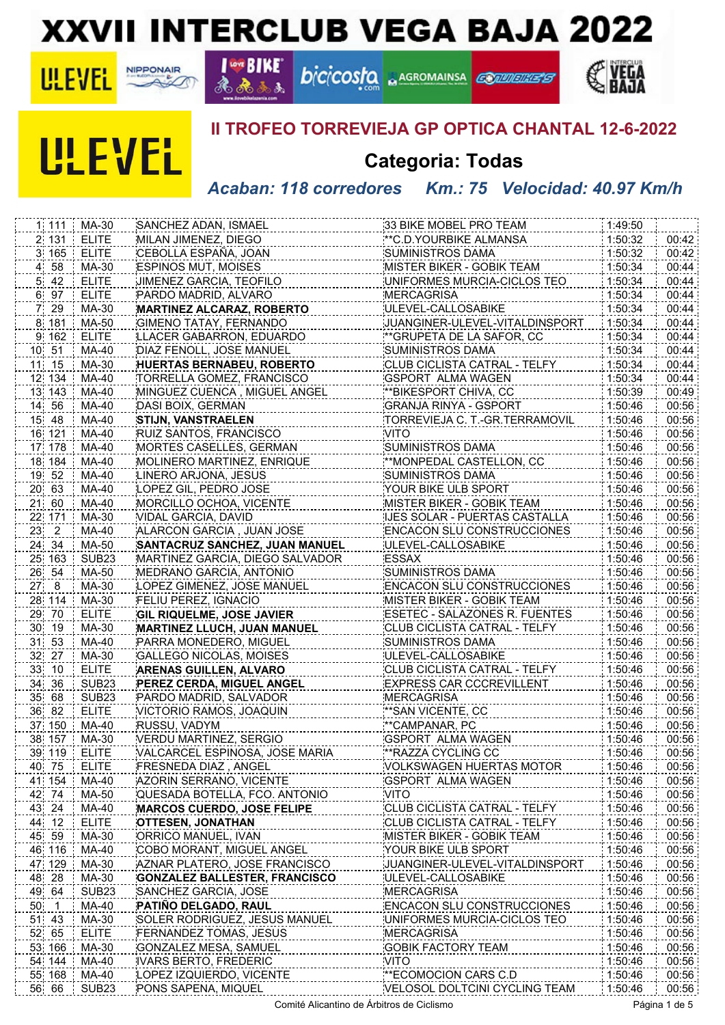# **XXVII INTERCLUB VEGA BAJA 2022**





#### **I GOT BIKE** ஃ  $3.3$

Æ

# **bicicosfo ARGROMAINSA**





## **II TROFEO TORREVIEJA GP OPTICA CHANTAL 12-6-2022**

**CONVERTS** 

# **Categoria: Todas**

#### *Acaban: 118 corredores Km.: 75 Velocidad: 40.97 Km/h*

| 1 111           | MA-30                      | SANCHEZ ADAN, ISMAEL                                | 33 BIKE MOBEL PRO TEAM                                | 1:49:50            |                |
|-----------------|----------------------------|-----------------------------------------------------|-------------------------------------------------------|--------------------|----------------|
| 2 131           | <b>ELITE</b>               | MILAN JIMENEZ, DIEGO                                | ** C.D. YOURBIKE ALMANSA                              | 1:50:32            | 00:42          |
| 3 165           | <b>ELITE</b>               | CEBOLLA ESPAÑA, JOAN                                | <b>SUMINISTROS DAMA</b>                               | 1:50:32            | 00:42          |
| 4 58            | MA-30                      | <b>ESPINOS MUT, MOISES</b>                          | MISTER BIKER - GOBIK TEAM                             | 1:50:34            | 00:44          |
| $5$ 42          | <b>ELITE</b>               | JIMENEZ GARCIA, TEOFILO                             | UNIFORMES MURCIA-CICLOS TEO                           | 1:50:34            | 00:44          |
| 6 97            | <b>ELITE</b>               | PARDO MADRID, ALVARO                                | <b>MERCAGRISA</b>                                     | 1:50:34            | 00:44          |
| 7 29            | MA-30                      | <b>MARTINEZ ALCARAZ, ROBERTO</b>                    | ULEVEL-CALLOSABIKE                                    | 1:50:34            | 00:44          |
| 8 181           | MA-50                      | <b>GIMENO TATAY, FERNANDO</b>                       | JUANGINER-ULEVEL-VITALDINSPORT                        | 1:50:34            | 00:44          |
| 9 162           | <b>ELITE</b>               | LLACER GABARRON, EDUARDO                            | **GRUPETA DE LA SAFOR, CC                             | 1:50:34            | 00:44          |
| 10 51           | MA-40                      | DIAZ FENOLL, JOSE MANUEL                            | SUMINISTROS DAMA                                      | 1:50:34            | 00:44          |
| 11 15           | MA-30                      | <b>HUERTAS BERNABEU, ROBERTO</b>                    | CLUB CICLISTA CATRAL - TELFY                          | 1:50:34            | 00:44          |
| 12 134          | MA-40                      | TORRELLA GOMEZ, FRANCISCO                           | <b>GSPORT ALMA WAGEN</b>                              | 1:50:34            | 00:44          |
| 13 143          | MA-40                      | MINGUEZ CUENCA, MIGUEL ANGEL                        | **BIKESPORT CHIVA, CC                                 | 1:50:39            | 00:49          |
| 14 56           | MA-40                      | DASI BOIX, GERMAN                                   | <b>GRANJA RINYA - GSPORT</b>                          | 1:50:46            | 00:56          |
| 15 48           | MA-40                      |                                                     |                                                       |                    | 00:56          |
|                 | MA-40                      | <b>STIJN, VANSTRAELEN</b><br>RUIZ SANTOS, FRANCISCO | TORREVIEJA C. T.-GR.TERRAMOVIL<br><b>VITO</b>         | 1:50:46<br>1:50:46 | 00:56          |
| 16 121          |                            |                                                     |                                                       |                    |                |
| 17 178          | MA-40                      | MORTES CASELLES, GERMAN                             | SUMINISTROS DAMA                                      | 1:50:46            | 00:56          |
| 18 184          | MA-40                      | MOLINERO MARTINEZ, ENRIQUE                          | **MONPEDAL CASTELLON, CC                              | 1:50:46            | 00:56          |
| 19 52           | MA-40                      | LINERO ARJONA, JESUS                                | <b>SUMINISTROS DAMA</b>                               | 1:50:46            | 00:56          |
| 20 63           | MA-40                      | LOPEZ GIL, PEDRO JOSE                               | YOUR BIKE ULB SPORT                                   | 1:50:46            | 00:56          |
| 21 60           | MA-40                      | MORCILLO OCHOA, VICENTE                             | MISTER BIKER - GOBIK TEAM                             | 1:50:46            | 00:56          |
| 22 171          | MA-30                      | VIDAL GARCIA, DAVID                                 | IJES SOLAR - PUERTAS CASTALLA                         | 1:50:46            | 00:56          |
| $23 - 2$        | MA-40                      | ALARCON GARCIA, JUAN JOSE                           | <b>ENCACON SLU CONSTRUCCIONES</b>                     | 1:50:46            | 00:56          |
| 24 34           | MA-50                      | <b>SANTACRUZ SANCHEZ, JUAN MANUEL</b>               | ULEVEL-CALLOSABIKE                                    | 1:50:46            | 00:56          |
| 25 163          | SUB <sub>23</sub>          | MARTINEZ GARCIA, DIEGO SALVADOR                     | <b>ESSAX</b>                                          | 1:50:46            | 00:56          |
| 26 54           | MA-50                      | MEDRANO GARCIA, ANTONIO                             | <b>SUMINISTROS DAMA</b>                               | 1:50:46            | 00:56          |
| 27 8            | MA-30                      | LOPEZ GIMENEZ, JOSE MANUEL                          | <b>ENCACON SLU CONSTRUCCIONES</b>                     | 1:50:46            | 00:56          |
| 28 114          | MA-30                      | FELIU PEREZ, IGNACIO                                | MISTER BIKER - GOBIK TEAM                             | 1:50:46            | 00:56          |
|                 |                            |                                                     |                                                       |                    |                |
| 29 70           | <b>ELITE</b>               | <b>GIL RIQUELME, JOSE JAVIER</b>                    | ESETEC - SALAZONES R. FUENTES                         | 1:50:46            | 00:56          |
| 30 19           | MA-30                      | MARTINEZ LLUCH, JUAN MANUEL                         | CLUB CICLISTA CATRAL - TELFY                          | 1:50:46            | 00:56          |
| 31 53           | MA-40                      | PARRA MONEDERO, MIGUEL                              | <b>SUMINISTROS DAMA</b>                               | 1:50:46            | 00:56          |
| 32 27           | MA-30                      | GALLEGO NICOLAS, MOISES                             | ULEVEL-CALLOSABIKE                                    | 1:50:46            | 00:56          |
| 33 10           | <b>ELITE</b>               | <b>ARENAS GUILLEN, ALVARO</b>                       | CLUB CICLISTA CATRAL - TELFY                          | 1:50:46            | 00:56          |
| 34 36           | SUB <sub>23</sub>          | PEREZ CERDA, MIGUEL ANGEL                           | EXPRESS CAR CCCREVILLENT                              | 1:50:46            | 00:56          |
| 35 68           | SUB <sub>23</sub>          | PARDO MADRID, SALVADOR                              | <b>MERCAGRISA</b>                                     | 1:50:46            | 00:56          |
| 36 82           | <b>ELITE</b>               | VICTORIO RAMOS, JOAQUIN                             | **SAN VICENTE, CC                                     | 1:50:46            | 00:56          |
| 37 150          | $MA-40$                    | RUSSU, VADYM                                        | **CAMPANAR, PC                                        | 1:50:46            | 00:56          |
| 38 157          | MA-30                      | VERDU MARTINEZ, SERGIO                              | <b>GSPORT ALMA WAGEN</b>                              | 1:50:46            | 00:56          |
| 39 119 ELITE    |                            | VALCARCEL ESPINOSA, JOSE MARIA                      | ** RAZZA CYCLING CC                                   | 1:50:46            | 00:56          |
| 40 75           | ELITE                      | FRESNEDA DIAZ, ANGEL                                | VOLKSWAGEN HUERTAS MOTOR                              | 1:50:46            |                |
| 41 154          | MA-40                      | AZORIN SERRANO, VICENTE                             | <b>GSPORT ALMA WAGEN</b>                              | 1:50:46            | 00:56          |
|                 | MA-50                      |                                                     | VITO                                                  |                    |                |
| 42 74           | MA-40                      | QUESADA BOTELLA, FCO. ANTONIO                       | CLUB CICLISTA CATRAL - TELFY                          | 1:50:46<br>1:50:46 | 00:56<br>00:56 |
| 43 24           |                            | <b>MARCOS CUERDO, JOSE FELIPE</b>                   |                                                       |                    |                |
| 44 12           | <b>ELITE</b>               | <b>OTTESEN, JONATHAN</b>                            | CLUB CICLISTA CATRAL - TELFY                          | 1:50:46<br>1:50:46 | 00:56<br>00:56 |
| 45 59           | MA-30                      | ORRICO MANUEL, IVAN                                 | MISTER BIKER - GOBIK TEAM                             |                    | 00:56          |
| 46 116          | MA-40                      | COBO MORANT, MIGUEL ANGEL                           | YOUR BIKE ULB SPORT                                   | 1:50:46            | 00:56          |
| 47 129          | MA-30                      | AZNAR PLATERO, JOSE FRANCISCO                       | JUANGINER-ULEVEL-VITALDINSPORT                        | 1:50:46            | 00:56          |
| 48 28           | MA-30                      | <b>GONZALEZ BALLESTER, FRANCISCO</b>                | ULEVEL-CALLOSABIKE                                    | 1:50:46            | 00:56          |
| 49 64           | SUB <sub>23</sub>          | SANCHEZ GARCIA, JOSE                                | MERCAGRISA<br><b>ENCACON SLU CONSTRUCCIONES</b>       | 1:50:46            | 00:56          |
| 50 1            | MA-40                      | <b>PATINO DELGADO, RAUL</b>                         |                                                       | 1:50:46            | 00:56          |
| 51 43           | MA-30                      | SOLER RODRIGUEZ, JESUS MANUEL                       | UNIFORMES MURCIA-CICLOS TEO                           | 1:50:46            | 00:56          |
| 52 65           | <b>ELITE</b>               | FERNANDEZ TOMAS, JESUS                              | <b>MERCAGRISA</b>                                     | 1:50:46            | 00:56          |
| 53 166          | MA-30                      | GONZALEZ MESA, SAMUEL                               | <b>GOBIK FACTORY TEAM</b>                             | 1:50:46            | 00:56          |
| 54 144          | MA-40                      | IVARS BERTO, FREDERIC                               | VITO                                                  | 1:50:46            | 00:56          |
| 55 168<br>56 66 | MA-40<br>SUB <sub>23</sub> | LOPEZ IZQUIERDO, VICENTE<br>PONS SAPENA, MIQUEL     | **ECOMOCION CARS C.D<br>VELOSOL DOLTCINI CYCLING TEAM | 1:50:46<br>1:50:46 | 00:56<br>00:56 |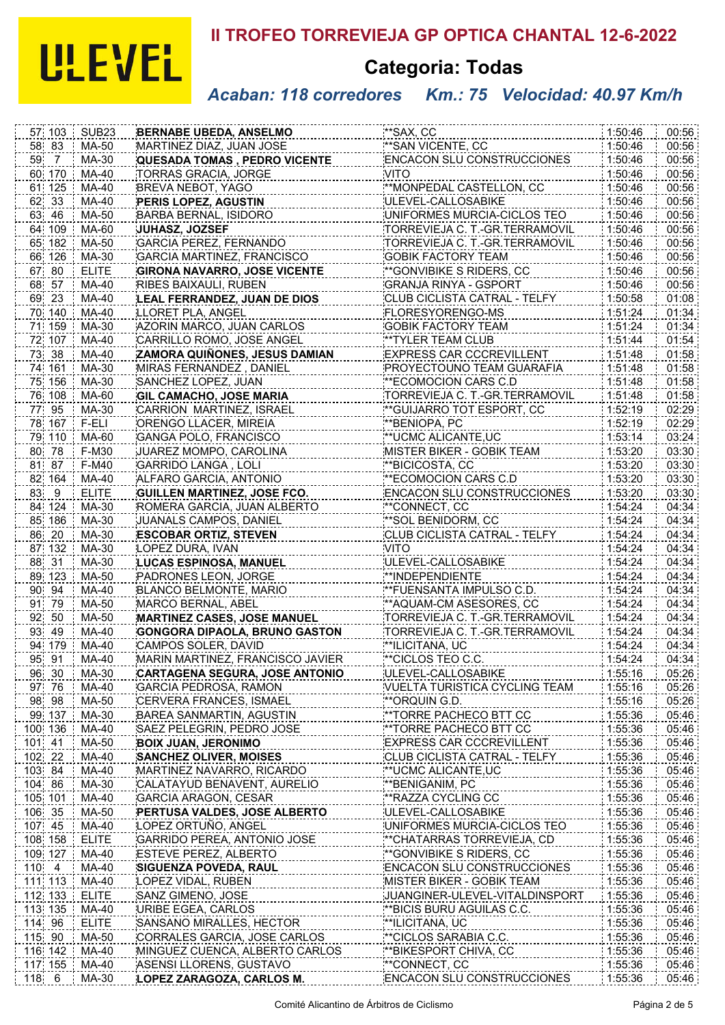# **ULEVEL**

# **II TROFEO TORREVIEJA GP OPTICA CHANTAL 12-6-2022**

# **Categoria: Todas**

## *Acaban: 118 corredores Km.: 75 Velocidad: 40.97 Km/h*

| 57 103           | SUB <sub>23</sub>     |                                                    | **SAX, CC                                                      | 1:50:46            | 00:56          |
|------------------|-----------------------|----------------------------------------------------|----------------------------------------------------------------|--------------------|----------------|
|                  |                       | <b>BERNABE UBEDA, ANSELMO</b>                      | **SAN VICENTE, CC                                              |                    |                |
| 58 83            | MA-50                 | MARTINEZ DIAZ, JUAN JOSE                           |                                                                | 1:50:46            | 00:56          |
| 59 7             | MA-30                 | <b>QUESADA TOMAS, PEDRO VICENTE</b>                | <b>ENCACON SLU CONSTRUCCIONES</b><br><b>VITO</b>               | 1:50:46            | 00:56          |
| 60 170           | MA-40                 | <b>TORRAS GRACIA, JORGE</b>                        |                                                                | 1:50:46            | 00:56          |
| 61 125           | MA-40                 | BREVA NEBOT, YAGO                                  | **MONPEDAL CASTELLON, CC                                       | 1:50:46            | 00:56          |
| 62 33            | MA-40                 | PERIS LOPEZ, AGUSTIN                               | ULEVEL-CALLOSABIKE                                             | 1:50:46            | 00:56          |
| 63 46            | MA-50                 | BARBA BERNAL, ISIDORO                              | UNIFORMES MURCIA-CICLOS TEO                                    | 1:50:46            | 00:56          |
| 64 109           | MA-60                 | <b>JUHASZ, JOZSEF</b>                              | TORREVIEJA C. T.-GR.TERRAMOVIL                                 | 1:50:46            | 00:56          |
| 65 182           | MA-50                 | <b>GARCIA PEREZ, FERNANDO</b>                      | TORREVIEJA C. T.-GR.TERRAMOVIL                                 | 1:50:46            | 00:56          |
| 66 126           | MA-30                 | GARCIA MARTINEZ, FRANCISCO                         | <b>GOBIK FACTORY TEAM</b>                                      | 1:50:46            | 00:56          |
| 67 80            | <b>ELITE</b>          | <b>GIRONA NAVARRO, JOSE VICENTE</b>                | **GONVIBIKE S RIDERS, CC                                       | 1:50:46            | 00:56          |
| 68 57            | MA-40                 | RIBES BAIXAULI, RUBEN                              | <b>GRANJA RINYA - GSPORT</b>                                   | 1:50:46            | 00:56          |
| 69 23            | MA-40                 | LEAL FERRANDEZ, JUAN DE DIOS                       | CLUB CICLISTA CATRAL - TELFY                                   | 1:50:58            | 01:08          |
| 70 140           | MA-40                 | LLORET PLA, ANGEL                                  | FLORESYORENGO-MS                                               | 1:51:24            | 01:34          |
| 71 159           | MA-30                 | AZORIN MARCO, JUAN CARLOS                          | <b>GOBIK FACTORY TEAM</b>                                      | 1:51:24            | 01:34          |
| 72 107           | MA-40                 | CARRILLO ROMO, JOSE ANGEL                          | **TYLER TEAM CLUB                                              | 1:51:44            | 01:54          |
| 73 38            | MA-40                 | ZAMORA QUIÑONES, JESUS DAMIAN                      | <b>EXPRESS CAR CCCREVILLENT</b>                                | 1:51:48            | 01:58          |
| 74 161           | MA-30                 | MIRAS FERNANDEZ, DANIEL                            | PROYECTOUNO TEAM GUARAFIA                                      | 1:51:48            | 01:58          |
| 75 156           | MA-30                 | SANCHEZ LOPEZ, JUAN                                | **ECOMOCION CARS C.D                                           | 1:51:48            | 01:58          |
| 76 108           | MA-60                 | <b>GIL CAMACHO, JOSE MARIA</b>                     | TORREVIEJA C. T.-GR.TERRAMOVIL                                 | 1:51:48            | 01:58          |
| 77 95            | MA-30                 | CARRION MARTINEZ, ISRAEL                           | **GUIJARRO TOT ESPORT, CC                                      | 1:52:19            | 02:29          |
| 78 167           | F-ELI                 | <b>ORENGO LLACER, MIREIA</b>                       | ** BENIOPA, PC                                                 | 1:52:19            | 02:29          |
| 79 110           | MA-60                 | <b>GANGA POLO, FRANCISCO</b>                       | ** UCMC ALICANTE, UC                                           | 1:53:14            | 03:24          |
| 80 78            | F-M30                 | JUAREZ MOMPO, CAROLINA                             | <b>MISTER BIKER - GOBIK TEAM</b>                               | 1:53:20            | 03:30          |
| 81 87            | F-M40                 | <b>GARRIDO LANGA, LOLI</b>                         | **BICICOSTA, CC                                                | 1:53:20            | 03:30          |
| 82 164           | MA-40                 | ALFARO GARCIA, ANTONIO                             | **ECOMOCION CARS C.D                                           | 1:53:20            | 03:30          |
| $83 - 9$         | <b>ELITE</b>          | <b>GUILLEN MARTINEZ, JOSE FCO.</b>                 | <b>ENCACON SLU CONSTRUCCIONES</b>                              | 1:53:20            | 03:30          |
| 84 124           | MA-30                 | ROMERA GARCIA, JUAN ALBERTO                        | **CONNECT, CC                                                  | 1:54:24            | 04:34          |
| 85 186           | MA-30                 | JUANALS CAMPOS, DANIEL                             | **SOL BENIDORM, CC                                             | 1:54:24            | 04:34          |
| 86 20            | MA-30                 | <b>ESCOBAR ORTIZ, STEVEN</b>                       | CLUB CICLISTA CATRAL - TELFY                                   | 1:54:24            | 04:34          |
| 87 132           | MA-30                 | LOPEZ DURA, IVAN                                   | VITO                                                           | 1:54:24            | 04:34          |
| 88 31            | MA-30                 | LUCAS ESPINOSA, MANUEL                             | ULEVEL-CALLOSABIKE                                             | 1:54:24            | 04:34          |
| 89 123           | MA-50                 | PADRONES LEON, JORGE                               | **INDEPENDIENTE                                                | 1:54:24            | 04:34          |
| 90 94            | MA-40                 | BLANCO BELMONTE, MARIO                             | **FUENSANTA IMPULSO C.D.                                       | 1:54:24            | 04:34          |
| 91 79            | MA-50                 | MARCO BERNAL, ABEL                                 | **AQUAM-CM ASESORES, CC                                        | 1:54:24            | 04:34          |
| 92 50            | MA-50                 | <b>MARTINEZ CASES, JOSE MANUEL</b>                 | TORREVIEJA C. T.-GR.TERRAMOVIL                                 | 1:54:24            | 04:34          |
| 93 49            | MA-40                 | GONGORA DIPAOLA, BRUNO GASTON                      | TORREVIEJA C. T.-GR.TERRAMOVIL                                 | 1:54:24            | 04:34          |
| 94 179           | MA-40                 | CAMPOS SOLER, DAVID                                | **ILICITANA, UC                                                | 1:54:24            | 04:34          |
| 95 91            | MA-40                 | MARIN MARTINEZ, FRANCISCO JAVIER                   | **CICLOS TEO C.C.                                              | 1:54:24            | 04:34          |
| 96 30            | MA-30                 | CARTAGENA SEGURA, JOSE ANTONIO                     | ULEVEL-CALLOSABIKE                                             | 1:55:16            | 05:26          |
| 97 76            | MA-40                 | <b>GARCIA PEDROSA, RAMON</b>                       | VUELTA TURISTICA CYCLING TEAM                                  | 1:55:16            | 05:26          |
| 98 98            | MA-50                 | CERVERA FRANCES, ISMAEL                            | **ORQUIN G.D.                                                  | 1:55:16            | 05:26          |
| 99 137           | MA-30                 | BAREA SANMARTIN, AGUSTIN                           | **TORRE PACHECO BTT CC                                         | 1:55:36            | 05:46          |
| 100 136          | MA-40                 | SAEZ PELEGRIN, PEDRO JOSE                          | **TORRE PACHECO BTT CC                                         | 1:55:36            | 05:46          |
| 101 41           | MA-50                 | <b>BOIX JUAN, JERONIMO</b>                         | <b>EXPRESS CAR CCCREVILLENT</b>                                | 1:55:36            | 05:46          |
| 102 22           | MA-40                 | <b>SANCHEZ OLIVER, MOISES</b>                      | CLUB CICLISTA CATRAL - TELFY                                   | 1:55:36            | 05:46          |
| 103 84           | MA-40                 | MARTINEZ NAVARRO, RICARDO                          | **UCMC ALICANTE,UC                                             | 1:55:36            | 05:46          |
| 104 86           | MA-30                 | CALATAYUD BENAVENT, AURELIO                        | **BENIGANIM, PC                                                | 1:55:36            | 05:46          |
| 105 101          | MA-40                 | <b>GARCIA ARAGON, CESAR</b>                        | **RAZZA CYCLING CC                                             | 1:55:36            | 05:46          |
| 106 35           | MA-50                 | PERTUSA VALDES, JOSE ALBERTO                       | ULEVEL-CALLOSABIKE                                             | 1:55:36            | 05:46          |
| 107 45           |                       |                                                    |                                                                |                    |                |
| 108 158          | MA-40<br><b>ELITE</b> | LOPEZ ORTUÑO, ANGEL<br>GARRIDO PEREA, ANTONIO JOSE | UNIFORMES MURCIA-CICLOS TEO<br>**CHATARRAS TORREVIEJA, CD      | 1:55:36<br>1:55:36 | 05:46<br>05:46 |
| 109 127          | MA-40                 | <b>ESTEVE PEREZ, ALBERTO</b>                       | **GONVIBIKE S RIDERS, CC                                       | 1:55:36            | 05:46          |
|                  | MA-40                 |                                                    |                                                                |                    |                |
| 110 4<br>111 113 | MA-40                 | <b>SIGUENZA POVEDA, RAUL</b><br>LOPEZ VIDAL, RUBEN | <b>ENCACON SLU CONSTRUCCIONES</b><br>MISTER BIKER - GOBIK TEAM | 1:55:36<br>1:55:36 | 05:46<br>05:46 |
|                  |                       |                                                    |                                                                |                    |                |
| 112 133          | ELITE                 | SANZ GIMENO, JOSE                                  | JUANGINER-ULEVEL-VITALDINSPORT<br>** BICIS BURU AGUILAS C.C.   | 1:55:36            | 05:46          |
| 113 135          | MA-40                 | URIBE EGEA, CARLOS                                 |                                                                | 1:55:36            | 05:46          |
| 114 96           | <b>ELITE</b>          | SANSANO MIRALLES, HECTOR                           | **ILICITANA, UC                                                | 1:55:36            | 05:46          |
| 115 90           | MA-50                 | CORRALES GARCIA, JOSE CARLOS                       | **CICLOS SARABIA C.C.                                          | 1:55:36            | 05:46          |
| 116 142          | MA-40                 | MINGUEZ CUENCA, ALBERTO CARLOS                     | **BIKESPORT CHIVA, CC                                          | 1:55:36            | 05:46          |
| 117 155          | MA-40                 | ASENSI LLORENS, GUSTAVO                            | **CONNECT, CC                                                  | 1:55:36            | 05:46          |
| 118 6            | MA-30                 | LOPEZ ZARAGOZA, CARLOS M.                          | <b>ENCACON SLU CONSTRUCCIONES</b>                              | 1:55:36            | 05:46          |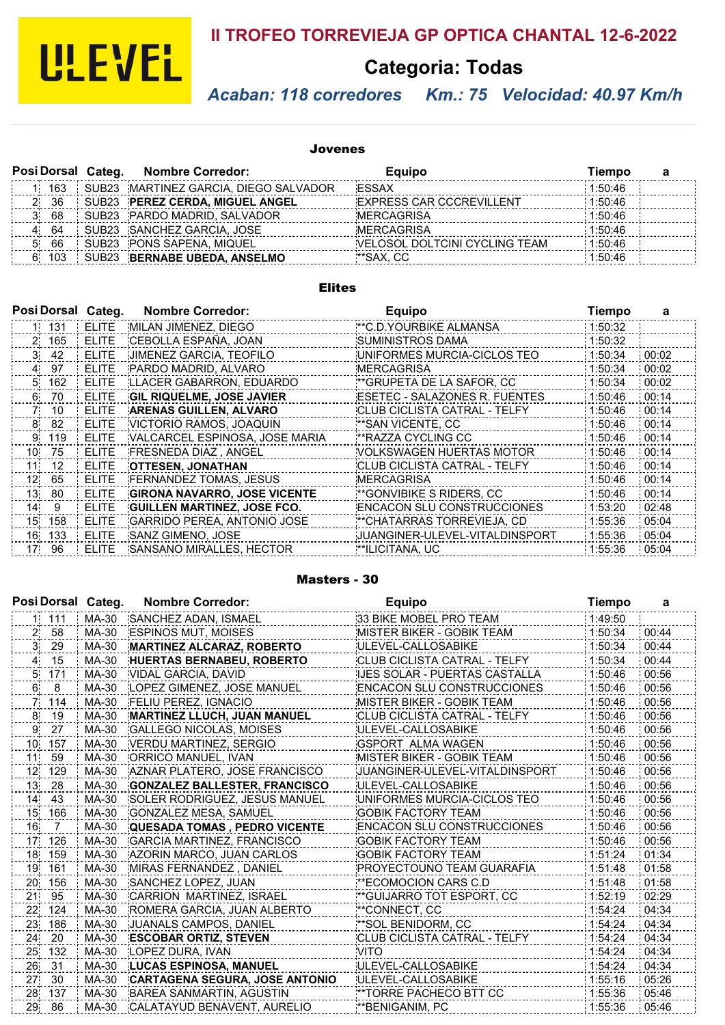

# **II TROFEO TORREVIEJA GP OPTICA CHANTAL 12-6-2022**

# **Categoria: Todas**

#### *Acaban: 118 corredores Km.: 75 Velocidad: 40.97 Km/h*

#### Jovenes

|           | Posi Dorsal Categ. | <b>Nombre Corredor:</b>               | Equipo                          | Tiempo  |  |
|-----------|--------------------|---------------------------------------|---------------------------------|---------|--|
| 163       |                    | SUB23 MARTINEZ GARCIA, DIEGO SALVADOR | ESSAX                           | 1:50:46 |  |
| -36       |                    | SUB23 PEREZ CERDA. MIGUEL ANGEL       | <b>EXPRESS CAR CCCREVILLENT</b> | 1:50:46 |  |
| 68        |                    | SUB23 PARDO MADRID, SALVADOR          | MERCAGRISA                      | 1:50:46 |  |
| 64        |                    | SUB23 SANCHEZ GARCIA, JOSE            | <b>MERCAGRISA</b>               | 1:50:46 |  |
| 66        |                    | SUB23 PONS SAPENA, MIQUEL             | VELOSOL DOLTCINI CYCLING TEAM   | 1:50:46 |  |
| 103<br>6. |                    | SUB23 BERNABE UBEDA, ANSELMO          | **SAX, CC                       | 1:50:46 |  |

#### Elites

|                 |       | Posi Dorsal Categ. | <b>Nombre Corredor:</b>             | <b>Equipo</b>                     | Tiempo  | a     |
|-----------------|-------|--------------------|-------------------------------------|-----------------------------------|---------|-------|
|                 | 1 131 | <b>ELITE</b>       | MILAN JIMENEZ, DIEGO                | ** C.D. YOURBIKE ALMANSA          | 1:50:32 |       |
|                 | 2 165 | <b>ELITE</b>       | CEBOLLA ESPAÑA, JOAN                | <b>SUMINISTROS DAMA</b>           | 1:50:32 |       |
|                 | 3 42  | <b>ELITE</b>       | JIMENEZ GARCIA, TEOFILO             | UNIFORMES MURCIA-CICLOS TEO       | 1:50:34 | 00:02 |
| 4.              | 97    | <b>ELITE</b>       | PARDO MADRID. ALVARO                | <b>MERCAGRISA</b>                 | 1:50:34 | 00:02 |
| 5.              | 162   | <b>ELITE</b>       | LLACER GABARRON, EDUARDO            | **GRUPETA DE LA SAFOR, CC         | 1:50:34 | 00:02 |
| 6.              | 70    | <b>ELITE</b>       | <b>GIL RIQUELME, JOSE JAVIER</b>    | ESETEC - SALAZONES R. FUENTES     | 1:50:46 | 00:14 |
| 71              | 10    | <b>ELITE</b>       | ARENAS GUILLEN, ALVARO              | CLUB CICLISTA CATRAL - TELFY      | 1:50:46 | 00:14 |
| 8               | 82    | <b>ELITE</b>       | VICTORIO RAMOS, JOAQUIN             | **SAN VICENTE, CC                 | 1:50:46 | 00:14 |
|                 | 9 119 | <b>ELITE</b>       | VALCARCEL ESPINOSA, JOSE MARIA      | **RAZZA CYCLING CC                | 1:50:46 | 00:14 |
| 10              | 75    | <b>ELITE</b>       | FRESNEDA DIAZ, ANGEL                | <b>VOLKSWAGEN HUERTAS MOTOR</b>   | 1:50:46 | 00:14 |
| 11              | 12    | <b>ELITE</b>       | <b>OTTESEN, JONATHAN</b>            | CLUB CICLISTA CATRAL - TELFY      | 1:50:46 | 00:14 |
| 12 <sup>°</sup> | 65    | <b>ELITE</b>       | <b>FERNANDEZ TOMAS, JESUS</b>       | <b>MERCAGRISA</b>                 | 1:50:46 | 00:14 |
| 13              | 80    | <b>ELITE</b>       | <b>GIRONA NAVARRO, JOSE VICENTE</b> | **GONVIBIKE S RIDERS, CC          | 1:50:46 | 00:14 |
| 14              | 9     | <b>ELITE</b>       | <b>GUILLEN MARTINEZ, JOSE FCO.</b>  | <b>ENCACON SLU CONSTRUCCIONES</b> | 1:53:20 | 02:48 |
| 15              | 158   | <b>ELITE</b>       | GARRIDO PEREA, ANTONIO JOSE         | **CHATARRAS TORREVIEJA, CD        | 1:55:36 | 05:04 |
| 16              | 133   | <b>ELITE</b>       | SANZ GIMENO, JOSE                   | JUANGINER-ULEVEL-VITALDINSPORT    | 1:55:36 | 05:04 |
|                 | 17 96 | <b>ELITE</b>       | SANSANO MIRALLES, HECTOR            | **ILICITANA, UC                   | 1:55:36 | 05:04 |

#### Masters - 30

|                 | Posi Dorsal Categ. |       | <b>Nombre Corredor:</b>               | <b>Equipo</b>                       | <b>Tiempo</b> | a     |
|-----------------|--------------------|-------|---------------------------------------|-------------------------------------|---------------|-------|
|                 | 1 111              | MA-30 | SANCHEZ ADAN, ISMAEL                  | 33 BIKE MOBEL PRO TEAM              | 1:49:50       |       |
| 2 <sub>1</sub>  | 58                 | MA-30 | <b>ESPINOS MUT, MOISES</b>            | MISTER BIKER - GOBIK TEAM           | 1:50:34       | 00:44 |
| 3               | 29                 | MA-30 | MARTINEZ ALCARAZ, ROBERTO             | ULEVEL-CALLOSABIKE                  | 1:50:34       | 00:44 |
| $\overline{4}$  | 15                 | MA-30 | <b>HUERTAS BERNABEU, ROBERTO</b>      | <b>CLUB CICLISTA CATRAL - TELFY</b> | 1:50:34       | 00:44 |
| 5.              | 171                | MA-30 | VIDAL GARCIA, DAVID                   | IJES SOLAR - PUERTAS CASTALLA       | 1:50:46       | 00:56 |
| 6.              | 8                  | MA-30 | LOPEZ GIMENEZ, JOSE MANUEL            | <b>ENCACON SLU CONSTRUCCIONES</b>   | 1:50:46       | 00:56 |
| 7.              | 114                | MA-30 | <b>FELIU PEREZ. IGNACIO</b>           | <b>MISTER BIKER - GOBIK TEAM</b>    | 1:50:46       | 00:56 |
| 8               | 19                 | MA-30 | MARTINEZ LLUCH, JUAN MANUEL           | <b>CLUB CICLISTA CATRAL - TELFY</b> | 1:50:46       | 00:56 |
| 9.              | 27                 | MA-30 | <b>GALLEGO NICOLAS, MOISES</b>        | ULEVEL-CALLOSABIKE                  | 1:50:46       | 00:56 |
| 10 <sub>1</sub> | 157                | MA-30 | VERDU MARTINEZ, SERGIO                | GSPORT ALMA WAGEN                   | 1:50:46       | 00:56 |
| 11 <sup>1</sup> | 59                 | MA-30 | ORRICO MANUEL, IVAN                   | <b>MISTER BIKER - GOBIK TEAM</b>    | 1:50:46       | 00:56 |
| 12 <sub>1</sub> | 129                | MA-30 | AZNAR PLATERO, JOSE FRANCISCO         | JUANGINER-ULEVEL-VITALDINSPORT      | 1:50:46       | 00:56 |
| 13 <sub>1</sub> | 28                 | MA-30 | <b>GONZALEZ BALLESTER, FRANCISCO</b>  | ULEVEL-CALLOSABIKE                  | 1:50:46       | 00:56 |
| 14.             | 43                 | MA-30 | SOLER RODRIGUEZ, JESUS MANUEL         | UNIFORMES MURCIA-CICLOS TEO         | 1:50:46       | 00:56 |
| 15 <sub>1</sub> | 166                | MA-30 | <b>GONZALEZ MESA, SAMUEL</b>          | <b>GOBIK FACTORY TEAM</b>           | 1:50:46       | 00:56 |
| 16              | $\overline{7}$     | MA-30 | <b>QUESADA TOMAS . PEDRO VICENTE</b>  | <b>ENCACON SLU CONSTRUCCIONES</b>   | 1:50:46       | 00:56 |
| 17 <sub>1</sub> | 126                | MA-30 | <b>GARCIA MARTINEZ, FRANCISCO</b>     | <b>GOBIK FACTORY TEAM</b>           | 1:50:46       | 00:56 |
| 18              | 159                | MA-30 | AZORIN MARCO, JUAN CARLOS             | <b>GOBIK FACTORY TEAM</b>           | 1:51:24       | 01:34 |
| 19              | 161                | MA-30 | MIRAS FERNANDEZ, DANIEL               | PROYECTOUNO TEAM GUARAFIA           | 1:51:48       | 01:58 |
| 20              | 156                | MA-30 | SANCHEZ LOPEZ, JUAN                   | **ECOMOCION CARS C.D                | 1:51:48       | 01:58 |
| 21              | 95                 | MA-30 | CARRION MARTINEZ, ISRAEL              | ** GUIJARRO TOT ESPORT, CC          | 1:52:19       | 02:29 |
| 22              | 124                | MA-30 | ROMERA GARCIA, JUAN ALBERTO           | **CONNECT, CC                       | 1:54:24       | 04:34 |
| 23              | 186                | MA-30 | JUANALS CAMPOS, DANIEL                | **SOL BENIDORM, CC                  | 1:54:24       | 04:34 |
| 24              | 20                 | MA-30 | <b>ESCOBAR ORTIZ, STEVEN</b>          | CLUB CICLISTA CATRAL - TELFY        | 1:54:24       | 04:34 |
| 25              | 132                | MA-30 | LOPEZ DURA, IVAN                      | <b>VITO</b>                         | 1:54:24       | 04:34 |
| 26              | 31                 | MA-30 | LUCAS ESPINOSA, MANUEL                | ULEVEL-CALLOSABIKE                  | 1:54:24       | 04:34 |
| 27              | 30                 | MA-30 | <b>CARTAGENA SEGURA, JOSE ANTONIO</b> | ULEVEL-CALLOSABIKE                  | 1:55:16       | 05:26 |
| 28              | 137                | MA-30 | BAREA SANMARTIN, AGUSTIN              | **TORRE PACHECO BTT CC              | 1:55:36       | 05:46 |
| 29              | 86                 | MA-30 | CALATAYUD BENAVENT, AURELIO           | ** BENIGANIM, PC                    | 1:55:36       | 05:46 |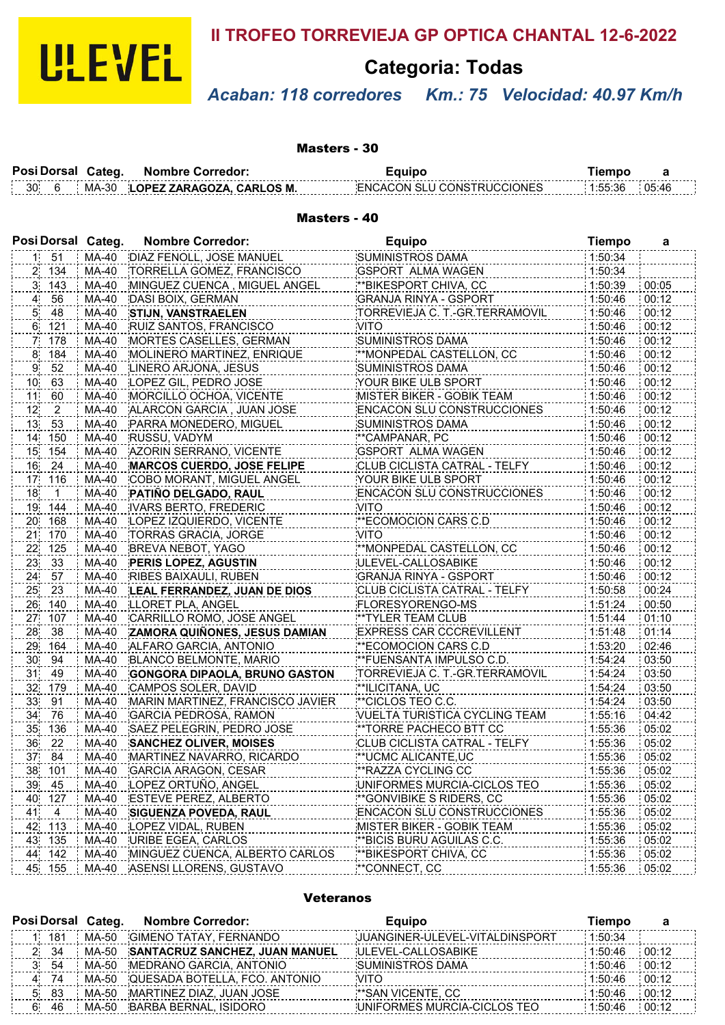

## **II TROFEO TORREVIEJA GP OPTICA CHANTAL 12-6-2022**

# **Categoria: Todas**

# *Acaban: 118 corredores Km.: 75 Velocidad: 40.97 Km/h*

Masters - 30

| Posi Dorsal Categ. |       | <b>Nombre Corredor:</b>   |                                   |         |       |
|--------------------|-------|---------------------------|-----------------------------------|---------|-------|
| 30.                | MA-30 | LOPEZ ZARAGOZA. CARLOS M. | <b>ENCACON SELLCONSTRUCCIONES</b> | 1:55:36 | 05:46 |

#### Masters - 40

|                 |                | Posi Dorsal Categ. | <b>Nombre Corredor:</b>              | <b>Equipo</b>                     | <b>Tiempo</b> | а     |
|-----------------|----------------|--------------------|--------------------------------------|-----------------------------------|---------------|-------|
|                 | $1 \quad 51$   | MA-40              | DIAZ FENOLL, JOSE MANUEL             | <b>SUMINISTROS DAMA</b>           | 1:50:34       |       |
|                 | 2 134          | MA-40              | TORRELLA GOMEZ, FRANCISCO            | <b>GSPORT ALMA WAGEN</b>          | 1:50:34       |       |
|                 | 3, 143         | MA-40              | MINGUEZ CUENCA, MIGUEL ANGEL         | **BIKESPORT CHIVA, CC*            | 1:50:39       | 00:05 |
| $\overline{A}$  | 56             | MA-40              | DASI BOIX, GERMAN                    | <b>GRANJA RINYA - GSPORT</b>      | 1:50:46       | 00:12 |
| 5,              | 48             | MA-40              | <b>STIJN, VANSTRAELEN</b>            | TORREVIEJA C. T.-GR.TERRAMOVIL    | 1:50:46       | 00:12 |
|                 | 6 121          | MA-40              | RUIZ SANTOS, FRANCISCO               | <b>VITO</b>                       | 1:50:46       | 00:12 |
| 7,              | 178            | MA-40              | MORTES CASELLES, GERMAN              | SUMINISTROS DAMA                  | 1:50:46       | 00:12 |
| 8               | 184            | MA-40              | MOLINERO MARTINEZ, ENRIQUE           | **MONPEDAL CASTELLON, CC          | 1:50:46       | 00:12 |
| 9               | 52             | MA-40              | LINERO ARJONA, JESUS                 | SUMINISTROS DAMA                  | 1:50:46       | 00:12 |
| 10 <sub>1</sub> | 63             | MA-40              | LOPEZ GIL, PEDRO JOSE                | YOUR BIKE ULB SPORT               | 1:50:46       | 00:12 |
| 11              | 60             | MA-40              | MORCILLO OCHOA, VICENTE              | MISTER BIKER - GOBIK TEAM         | 1:50:46       | 00:12 |
| 12              | $\overline{a}$ | MA-40              | ALARCON GARCIA, JUAN JOSE            | <b>ENCACON SLU CONSTRUCCIONES</b> | 1:50:46       | 00:12 |
| 13 <sub>1</sub> | 53             | MA-40              | PARRA MONEDERO, MIGUEL               | SUMINISTROS DAMA                  | 1:50:46       | 00:12 |
| 14              | 150            | MA-40              | RUSSU, VADYM                         | **CAMPANAR, PC                    | 1:50:46       | 00:12 |
| 15              | 154            | MA-40              | AZORIN SERRANO, VICENTE              | <b>GSPORT ALMA WAGEN</b>          | 1:50:46       | 00:12 |
| 16              | 24             | MA-40              | MARCOS CUERDO, JOSE FELIPE           | CLUB CICLISTA CATRAL - TELFY      | 1:50:46       | 00:12 |
| 17              | 116            | MA-40              | COBO MORANT, MIGUEL ANGEL            | YOUR BIKE ULB SPORT               | 1:50:46       | 00:12 |
| 18              | $\mathbf{1}$   | MA-40              | PATIÑO DELGADO, RAUL                 | <b>ENCACON SLU CONSTRUCCIONES</b> | 1:50:46       | 00:12 |
| 19              | 144            | MA-40              | <b>IVARS BERTO, FREDERIC</b>         | <b>VITO</b>                       | 1:50:46       | 00:12 |
| 20              | 168            | MA-40              | LOPEZ IZQUIERDO, VICENTE             | **ECOMOCION CARS C.D              | 1:50:46       | 00:12 |
| 21              | 170            | MA-40              | TORRAS GRACIA, JORGE                 | <b>VITO</b>                       | 1:50:46       | 00:12 |
| 22 <sub>1</sub> | 125            | MA-40              | BREVA NEBOT, YAGO                    | **MONPEDAL CASTELLON, CC          | 1:50:46       | 00:12 |
| 23              | 33             | MA-40              | <b>PERIS LOPEZ, AGUSTIN</b>          | ULEVEL-CALLOSABIKE                | 1:50:46       | 00:12 |
| 24              | 57             | MA-40              | <b>RIBES BAIXAULI, RUBEN</b>         | <b>GRANJA RINYA - GSPORT</b>      | 1:50:46       | 00:12 |
| 25              | 23             | MA-40              | LEAL FERRANDEZ, JUAN DE DIOS         | CLUB CICLISTA CATRAL - TELFY      | 1:50:58       | 00:24 |
| 26              | 140            | MA-40              | LLORET PLA, ANGEL                    | FLORESYORENGO-MS                  | 1:51:24       | 00:50 |
| 27              | 107            | MA-40              | CARRILLO ROMO, JOSE ANGEL            | **TYLER TEAM CLUB                 | 1:51:44       | 01:10 |
| 28              | 38             | MA-40              | ZAMORA QUIÑONES, JESUS DAMIAN        | <b>EXPRESS CAR CCCREVILLENT</b>   | 1:51:48       | 01:14 |
| 29              | 164            | MA-40              | ALFARO GARCIA, ANTONIO               | **ECOMOCION CARS C.D              | 1:53:20       | 02:46 |
| 30              | 94             | MA-40              | BLANCO BELMONTE, MARIO               | **FUENSANTA IMPULSO C.D.          | 1:54:24       | 03:50 |
| 31              | 49             | MA-40              | <b>GONGORA DIPAOLA, BRUNO GASTON</b> | TORREVIEJA C. T.-GR.TERRAMOVIL    | 1:54:24       | 03:50 |
| 32              | 179            | MA-40              | CAMPOS SOLER, DAVID                  | **ILICITANA, UC                   | 1:54:24       | 03:50 |
| 33              | 91             | MA-40              | MARIN MARTINEZ, FRANCISCO JAVIER     | **CICLOS TEO C.C.                 | 1:54:24       | 03:50 |
| 34              | 76             | MA-40              | <b>GARCIA PEDROSA, RAMON</b>         | VUELTA TURISTICA CYCLING TEAM     | 1:55:16       | 04:42 |
| 35              | 136            | MA-40              | SAEZ PELEGRIN, PEDRO JOSE            | **TORRE PACHECO BTT CC            | 1:55:36       | 05:02 |
| 36              | 22             | MA-40              | <b>SANCHEZ OLIVER, MOISES</b>        | CLUB CICLISTA CATRAL - TELFY      | 1:55:36       | 05:02 |
| 37              | 84             | MA-40              | MARTINEZ NAVARRO, RICARDO            | **UCMC ALICANTE,UC                | 1:55:36       | 05:02 |
| 38              | 101            | MA-40              | <b>GARCIA ARAGON, CESAR</b>          | <b>**RAZZA CYCLING CC</b>         | 1:55:36       | 05:02 |
| 39              | 45             | MA-40              | LOPEZ ORTUÑO, ANGEL                  | UNIFORMES MURCIA-CICLOS TEO       | 1:55:36       | 05:02 |
| 40              | 127            | MA-40              | <b>ESTEVE PEREZ, ALBERTO</b>         | **GONVIBIKE S RIDERS, CC          | 1:55:36       | 05:02 |
| 41              | 4              | MA-40              | <b>SIGUENZA POVEDA, RAUL</b>         | <b>ENCACON SLU CONSTRUCCIONES</b> | 1:55:36       | 05:02 |
| 42              | 113            | MA-40              | LOPEZ VIDAL, RUBEN                   | MISTER BIKER - GOBIK TEAM         | 1:55:36       | 05:02 |
| 43              | 135            | MA-40              | URIBE EGEA, CARLOS                   | **BICIS BURU AGUILAS C.C.         | 1:55:36       | 05:02 |
| 44              | 142            | MA-40              | MINGUEZ CUENCA, ALBERTO CARLOS       | **BIKESPORT CHIVA, CC             | 1:55:36       | 05:02 |
|                 | 45 155         | MA-40              | ASENSI LLORENS, GUSTAVO              | **CONNECT, CC                     | 1:55:36       | 05:02 |

#### Veteranos

|    |      | Posi Dorsal Categ. | <b>Nombre Corredor:</b>              | Equipo                         | Tiempo  |       |
|----|------|--------------------|--------------------------------------|--------------------------------|---------|-------|
|    | 181  | MA-50              | GIMENO TATAY. FERNANDO               | JUANGINER-ULEVEL-VITALDINSPORT | 1:50:34 |       |
|    | 2 34 |                    | MA-50 SANTACRUZ SANCHEZ, JUAN MANUEL | ULEVEL-CALLOSABIKE             | 1:50:46 | 00:12 |
|    | 54   | MA-50              | MEDRANO GARCIA, ANTONIO              | SUMINISTROS DAMA               | 1:50:46 | 00:12 |
| 4. | - 74 |                    | MA-50 QUESADA BOTELLA, FCO, ANTONIO  | VITO                           | 1:50:46 | 00:12 |
| 5. | -83  | MA-50              | MARTINEZ DIAZ, JUAN JOSE             | **SAN VICENTE. CC              | 1:50:46 | 00:12 |
| 6. | 46   |                    | MA-50 BARBA BERNAL, ISIDORO          | UNIFORMES MURCIA-CICLOS TEO    | 1:50:46 | 00:12 |